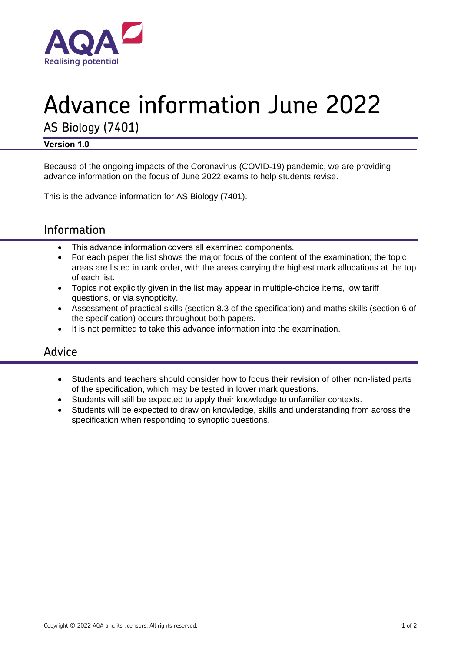

# Advance information June 2022

AS Biology (7401)

### **Version 1.0**

Because of the ongoing impacts of the Coronavirus (COVID-19) pandemic, we are providing advance information on the focus of June 2022 exams to help students revise.

This is the advance information for AS Biology (7401).

# Information

- This advance information covers all examined components.
- For each paper the list shows the major focus of the content of the examination; the topic areas are listed in rank order, with the areas carrying the highest mark allocations at the top of each list.
- Topics not explicitly given in the list may appear in multiple-choice items, low tariff questions, or via synopticity.
- Assessment of practical skills (section 8.3 of the specification) and maths skills (section 6 of the specification) occurs throughout both papers.
- It is not permitted to take this advance information into the examination.

## Advice

- Students and teachers should consider how to focus their revision of other non-listed parts of the specification, which may be tested in lower mark questions.
- Students will still be expected to apply their knowledge to unfamiliar contexts.
- Students will be expected to draw on knowledge, skills and understanding from across the specification when responding to synoptic questions.